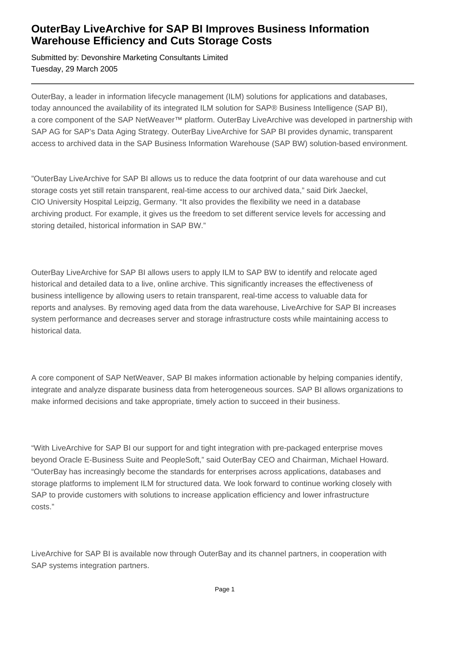## **OuterBay LiveArchive for SAP BI Improves Business Information Warehouse Efficiency and Cuts Storage Costs**

Submitted by: Devonshire Marketing Consultants Limited Tuesday, 29 March 2005

OuterBay, a leader in information lifecycle management (ILM) solutions for applications and databases, today announced the availability of its integrated ILM solution for SAP® Business Intelligence (SAP BI), a core component of the SAP NetWeaver™ platform. OuterBay LiveArchive was developed in partnership with SAP AG for SAP's Data Aging Strategy. OuterBay LiveArchive for SAP BI provides dynamic, transparent access to archived data in the SAP Business Information Warehouse (SAP BW) solution-based environment.

"OuterBay LiveArchive for SAP BI allows us to reduce the data footprint of our data warehouse and cut storage costs yet still retain transparent, real-time access to our archived data," said Dirk Jaeckel, CIO University Hospital Leipzig, Germany. "It also provides the flexibility we need in a database archiving product. For example, it gives us the freedom to set different service levels for accessing and storing detailed, historical information in SAP BW."

OuterBay LiveArchive for SAP BI allows users to apply ILM to SAP BW to identify and relocate aged historical and detailed data to a live, online archive. This significantly increases the effectiveness of business intelligence by allowing users to retain transparent, real-time access to valuable data for reports and analyses. By removing aged data from the data warehouse, LiveArchive for SAP BI increases system performance and decreases server and storage infrastructure costs while maintaining access to historical data.

A core component of SAP NetWeaver, SAP BI makes information actionable by helping companies identify, integrate and analyze disparate business data from heterogeneous sources. SAP BI allows organizations to make informed decisions and take appropriate, timely action to succeed in their business.

"With LiveArchive for SAP BI our support for and tight integration with pre-packaged enterprise moves beyond Oracle E-Business Suite and PeopleSoft," said OuterBay CEO and Chairman, Michael Howard. "OuterBay has increasingly become the standards for enterprises across applications, databases and storage platforms to implement ILM for structured data. We look forward to continue working closely with SAP to provide customers with solutions to increase application efficiency and lower infrastructure costs."

LiveArchive for SAP BI is available now through OuterBay and its channel partners, in cooperation with SAP systems integration partners.